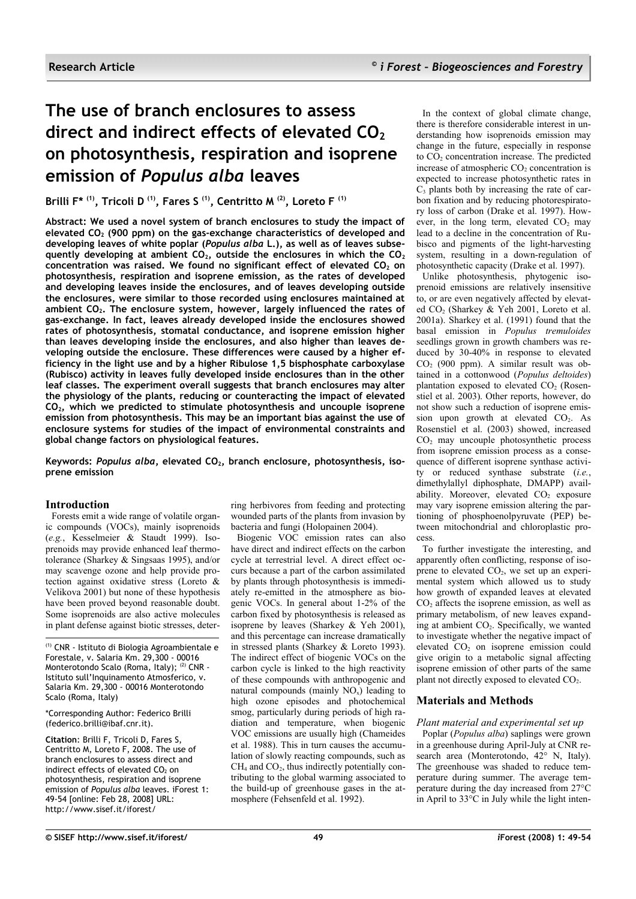# **The use of branch enclosures to assess direct and indirect effects of elevated CO<sup>2</sup> on photosynthesis, respiration and isoprene emission of** *Populus alba* **leaves**

**Brilli F\* (1), Tricoli D (1), Fares S (1), Centritto M (2), Loreto F (1)**

**Abstract: We used a novel system of branch enclosures to study the impact of elevated CO<sup>2</sup> (900 ppm) on the gas-exchange characteristics of developed and developing leaves of white poplar (***Populus alba* **L.), as well as of leaves subsequently developing at ambient CO2, outside the enclosures in which the CO<sup>2</sup> concentration was raised. We found no significant effect of elevated CO<sup>2</sup> on photosynthesis, respiration and isoprene emission, as the rates of developed and developing leaves inside the enclosures, and of leaves developing outside the enclosures, were similar to those recorded using enclosures maintained at ambient CO2. The enclosure system, however, largely influenced the rates of gas-exchange. In fact, leaves already developed inside the enclosures showed rates of photosynthesis, stomatal conductance, and isoprene emission higher than leaves developing inside the enclosures, and also higher than leaves developing outside the enclosure. These differences were caused by a higher efficiency in the light use and by a higher Ribulose 1,5 bisphosphate carboxylase (Rubisco) activity in leaves fully developed inside enclosures than in the other leaf classes. The experiment overall suggests that branch enclosures may alter the physiology of the plants, reducing or counteracting the impact of elevated CO2, which we predicted to stimulate photosynthesis and uncouple isoprene emission from photosynthesis. This may be an important bias against the use of enclosure systems for studies of the impact of environmental constraints and global change factors on physiological features.**

**Keywords:** *Populus alba***, elevated CO2, branch enclosure, photosynthesis, isoprene emission**

## **Introduction**

Forests emit a wide range of volatile organic compounds (VOCs), mainly isoprenoids (*e.g.*, Kesselmeier & Staudt 1999). Isoprenoids may provide enhanced leaf thermotolerance (Sharkey & Singsaas 1995), and/or may scavenge ozone and help provide protection against oxidative stress (Loreto & Velikova 2001) but none of these hypothesis have been proved beyond reasonable doubt. Some isoprenoids are also active molecules in plant defense against biotic stresses, deter-

(1) CNR - Istituto di Biologia Agroambientale e Forestale, v. Salaria Km. 29,300 - 00016 Monterotondo Scalo (Roma, Italy); <sup>(2)</sup> CNR -Istituto sull'Inquinamento Atmosferico, v. Salaria Km. 29,300 - 00016 Monterotondo Scalo (Roma, Italy)

\*Corresponding Author: Federico Brilli (federico.brilli@ibaf.cnr.it).

**Citation**: Brilli F, Tricoli D, Fares S, Centritto M, Loreto F, 2008. The use of branch enclosures to assess direct and indirect effects of elevated  $CO<sub>2</sub>$  on photosynthesis, respiration and isoprene emission of *Populus alba* leaves. iForest 1: 49-54 [online: Feb 28, 2008] URL: http://www.sisef.it/iforest/

ring herbivores from feeding and protecting wounded parts of the plants from invasion by bacteria and fungi (Holopainen 2004).

Biogenic VOC emission rates can also have direct and indirect effects on the carbon cycle at terrestrial level. A direct effect occurs because a part of the carbon assimilated by plants through photosynthesis is immediately re-emitted in the atmosphere as biogenic VOCs. In general about 1-2% of the carbon fixed by photosynthesis is released as isoprene by leaves (Sharkey & Yeh 2001), and this percentage can increase dramatically in stressed plants (Sharkey & Loreto 1993). The indirect effect of biogenic VOCs on the carbon cycle is linked to the high reactivity of these compounds with anthropogenic and natural compounds (mainly  $NO_x$ ) leading to high ozone episodes and photochemical smog, particularly during periods of high radiation and temperature, when biogenic VOC emissions are usually high (Chameides et al. 1988). This in turn causes the accumulation of slowly reacting compounds, such as  $CH<sub>4</sub>$  and  $CO<sub>2</sub>$ , thus indirectly potentially contributing to the global warming associated to the build-up of greenhouse gases in the atmosphere (Fehsenfeld et al. 1992).

In the context of global climate change, there is therefore considerable interest in understanding how isoprenoids emission may change in the future, especially in response to  $CO<sub>2</sub>$  concentration increase. The predicted increase of atmospheric  $CO<sub>2</sub>$  concentration is expected to increase photosynthetic rates in  $C<sub>3</sub>$  plants both by increasing the rate of carbon fixation and by reducing photorespiratory loss of carbon (Drake et al. 1997). However, in the long term, elevated  $CO<sub>2</sub>$  may lead to a decline in the concentration of Rubisco and pigments of the light-harvesting system, resulting in a down-regulation of photosynthetic capacity (Drake et al. 1997).

Unlike photosynthesis, phytogenic isoprenoid emissions are relatively insensitive to, or are even negatively affected by elevated CO<sub>2</sub> (Sharkey & Yeh 2001, Loreto et al. 2001a). Sharkey et al. (1991) found that the basal emission in *Populus tremuloides* seedlings grown in growth chambers was reduced by 30-40% in response to elevated CO<sup>2</sup> (900 ppm). A similar result was obtained in a cottonwood (*Populus deltoides*) plantation exposed to elevated  $CO<sub>2</sub>$  (Rosenstiel et al. 2003). Other reports, however, do not show such a reduction of isoprene emission upon growth at elevated CO<sub>2</sub>. As Rosenstiel et al. (2003) showed, increased  $CO<sub>2</sub>$  may uncouple photosynthetic process from isoprene emission process as a consequence of different isoprene synthase activity or reduced synthase substrate (*i.e.*, dimethylallyl diphosphate, DMAPP) availability. Moreover, elevated  $CO<sub>2</sub>$  exposure may vary isoprene emission altering the partioning of phosphoenolpyruvate (PEP) between mitochondrial and chloroplastic process.

To further investigate the interesting, and apparently often conflicting, response of isoprene to elevated  $CO<sub>2</sub>$ , we set up an experimental system which allowed us to study how growth of expanded leaves at elevated  $CO<sub>2</sub>$  affects the isoprene emission, as well as primary metabolism, of new leaves expanding at ambient CO2. Specifically, we wanted to investigate whether the negative impact of elevated CO<sub>2</sub> on isoprene emission could give origin to a metabolic signal affecting isoprene emission of other parts of the same plant not directly exposed to elevated  $CO<sub>2</sub>$ .

## **Materials and Methods**

## *Plant material and experimental set up*

Poplar (*Populus alba*) saplings were grown in a greenhouse during April-July at CNR research area (Monterotondo, 42° N, Italy). The greenhouse was shaded to reduce temperature during summer. The average temperature during the day increased from 27°C in April to  $33^{\circ}$ C in July while the light inten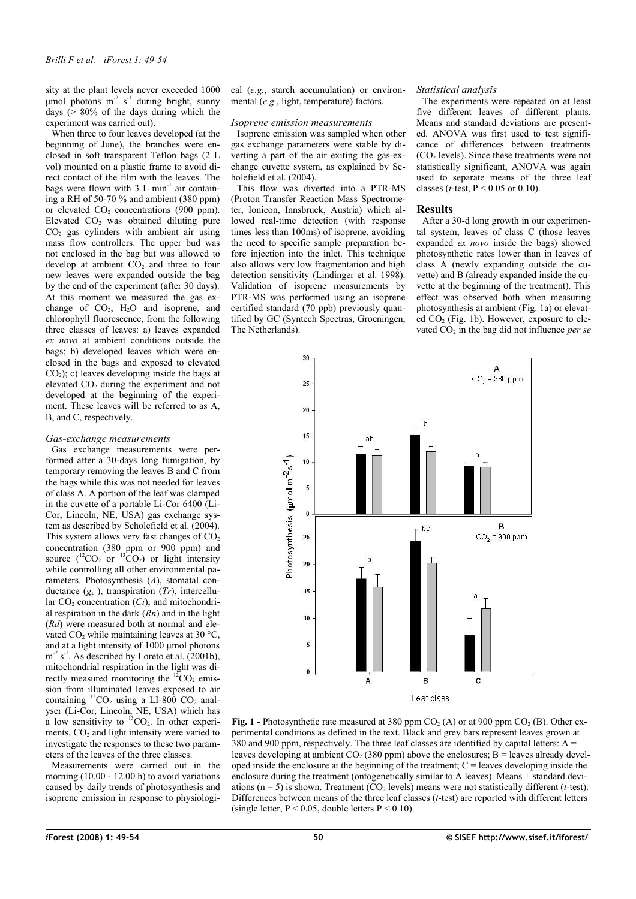sity at the plant levels never exceeded 1000 μmol photons m<sup>-2</sup> s<sup>-1</sup> during bright, sunny days ( $> 80\%$  of the days during which the experiment was carried out).

When three to four leaves developed (at the beginning of June), the branches were enclosed in soft transparent Teflon bags (2 L vol) mounted on a plastic frame to avoid direct contact of the film with the leaves. The bags were flown with  $3 L \text{ min}^{-1}$  air containing a RH of 50-70 % and ambient (380 ppm) or elevated  $CO<sub>2</sub>$  concentrations (900 ppm). Elevated CO<sup>2</sup> was obtained diluting pure  $CO<sub>2</sub>$  gas cylinders with ambient air using mass flow controllers. The upper bud was not enclosed in the bag but was allowed to develop at ambient  $CO<sub>2</sub>$  and three to four new leaves were expanded outside the bag by the end of the experiment (after 30 days). At this moment we measured the gas exchange of  $CO<sub>2</sub>$ ,  $H<sub>2</sub>O$  and isoprene, and chlorophyll fluorescence, from the following three classes of leaves: a) leaves expanded *ex novo* at ambient conditions outside the bags; b) developed leaves which were enclosed in the bags and exposed to elevated  $CO<sub>2</sub>$ ); c) leaves developing inside the bags at elevated CO<sub>2</sub> during the experiment and not developed at the beginning of the experiment. These leaves will be referred to as A, B, and C, respectively.

#### *Gas-exchange measurements*

Gas exchange measurements were performed after a 30-days long fumigation, by temporary removing the leaves B and C from the bags while this was not needed for leaves of class A. A portion of the leaf was clamped in the cuvette of a portable Li-Cor 6400 (Li-Cor, Lincoln, NE, USA) gas exchange system as described by Scholefield et al. (2004). This system allows very fast changes of  $CO<sub>2</sub>$ concentration (380 ppm or 900 ppm) and source  $({}^{12}CO_2$  or  ${}^{13}CO_2$ ) or light intensity while controlling all other environmental parameters. Photosynthesis (*A*), stomatal conductance (*g*<sup>s</sup> ), transpiration (*Tr*), intercellular  $CO<sub>2</sub>$  concentration (*Ci*), and mitochondrial respiration in the dark (*Rn*) and in the light (*Rd*) were measured both at normal and elevated  $CO<sub>2</sub>$  while maintaining leaves at 30 °C, and at a light intensity of 1000 μmol photons  $m^{-2}$  s<sup>-1</sup>. As described by Loreto et al. (2001b), mitochondrial respiration in the light was directly measured monitoring the  ${}^{12}CO_2$  emission from illuminated leaves exposed to air containing  ${}^{13}CO_2$  using a LI-800 CO<sub>2</sub> analyser (Li-Cor, Lincoln, NE, USA) which has a low sensitivity to  $^{13}CO_2$ . In other experiments,  $CO<sub>2</sub>$  and light intensity were varied to investigate the responses to these two parameters of the leaves of the three classes.

Measurements were carried out in the morning (10.00 - 12.00 h) to avoid variations caused by daily trends of photosynthesis and isoprene emission in response to physiological (*e.g.*, starch accumulation) or environmental (*e.g.*, light, temperature) factors.

#### *Isoprene emission measurements*

Isoprene emission was sampled when other gas exchange parameters were stable by diverting a part of the air exiting the gas-exchange cuvette system, as explained by Scholefield et al. (2004).

This flow was diverted into a PTR-MS (Proton Transfer Reaction Mass Spectrometer, Ionicon, Innsbruck, Austria) which allowed real-time detection (with response times less than 100ms) of isoprene, avoiding the need to specific sample preparation before injection into the inlet. This technique also allows very low fragmentation and high detection sensitivity (Lindinger et al. 1998). Validation of isoprene measurements by PTR-MS was performed using an isoprene certified standard (70 ppb) previously quantified by GC (Syntech Spectras, Groeningen, The Netherlands).

#### *Statistical analysis*

The experiments were repeated on at least five different leaves of different plants. Means and standard deviations are presented. ANOVA was first used to test significance of differences between treatments (CO<sup>2</sup> levels). Since these treatments were not statistically significant, ANOVA was again used to separate means of the three leaf classes (*t*-test,  $P < 0.05$  or 0.10).

#### **Results**

After a 30-d long growth in our experimental system, leaves of class C (those leaves expanded *ex novo* inside the bags) showed photosynthetic rates lower than in leaves of class A (newly expanding outside the cuvette) and B (already expanded inside the cuvette at the beginning of the treatment). This effect was observed both when measuring photosynthesis at ambient [\(Fig. 1a](#page-1-0)) or elevated  $CO<sub>2</sub>$  [\(Fig.](#page-1-0) 1b). However, exposure to elevated CO<sub>2</sub> in the bag did not influence *per se* 



<span id="page-1-0"></span>**Fig. 1** - Photosynthetic rate measured at 380 ppm  $CO<sub>2</sub>(A)$  or at 900 ppm  $CO<sub>2</sub>(B)$ . Other experimental conditions as defined in the text. Black and grey bars represent leaves grown at 380 and 900 ppm, respectively. The three leaf classes are identified by capital letters:  $A =$ leaves developing at ambient  $CO<sub>2</sub>$  (380 ppm) above the enclosures; B = leaves already developed inside the enclosure at the beginning of the treatment;  $C =$  leaves developing inside the enclosure during the treatment (ontogenetically similar to A leaves). Means + standard deviations ( $n = 5$ ) is shown. Treatment (CO<sub>2</sub> levels) means were not statistically different (*t*-test). Differences between means of the three leaf classes (*t*-test) are reported with different letters (single letter,  $P < 0.05$ , double letters  $P < 0.10$ ).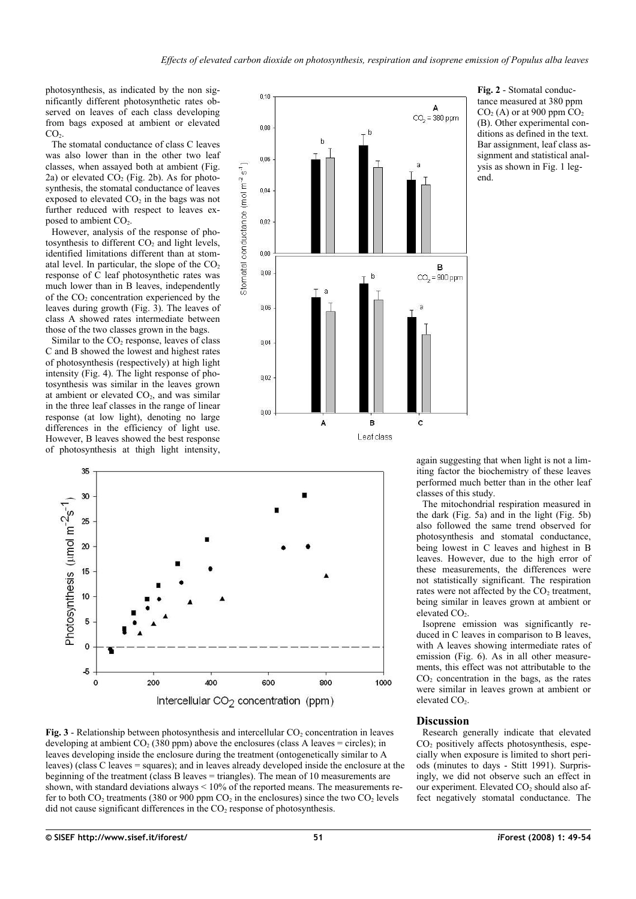photosynthesis, as indicated by the non significantly different photosynthetic rates observed on leaves of each class developing from bags exposed at ambient or elevated  $CO<sub>2</sub>$ .

The stomatal conductance of class C leaves was also lower than in the other two leaf classes, when assayed both at ambient [\(Fig.](#page-2-1) [2a](#page-2-1)) or elevated  $CO<sub>2</sub>$  [\(Fig.](#page-2-1) 2b). As for photosynthesis, the stomatal conductance of leaves exposed to elevated  $CO<sub>2</sub>$  in the bags was not further reduced with respect to leaves exposed to ambient CO<sub>2</sub>.

However, analysis of the response of photosynthesis to different CO<sub>2</sub> and light levels, identified limitations different than at stomatal level. In particular, the slope of the  $CO<sub>2</sub>$ response of  $\overline{C}$  leaf photosynthetic rates was much lower than in B leaves, independently of the  $CO<sub>2</sub>$  concentration experienced by the leaves during growth [\(Fig.](#page-2-0) 3). The leaves of class A showed rates intermediate between those of the two classes grown in the bags.

Similar to the  $CO<sub>2</sub>$  response, leaves of class C and B showed the lowest and highest rates of photosynthesis (respectively) at high light intensity [\(Fig.](#page-3-1) 4). The light response of photosynthesis was similar in the leaves grown at ambient or elevated  $CO<sub>2</sub>$ , and was similar in the three leaf classes in the range of linear response (at low light), denoting no large differences in the efficiency of light use. However, B leaves showed the best response of photosynthesis at thigh light intensity,



<span id="page-2-1"></span>**Fig. 2** - Stomatal conductance measured at 380 ppm  $CO<sub>2</sub>$  (A) or at 900 ppm  $CO<sub>2</sub>$ (B). Other experimental conditions as defined in the text. Bar assignment, leaf class assignment and statistical analysis as shown in [Fig.](#page-1-0) 1 legend.



<span id="page-2-0"></span>

again suggesting that when light is not a limiting factor the biochemistry of these leaves performed much better than in the other leaf classes of this study.

The mitochondrial respiration measured in the dark [\(Fig.](#page-3-0) 5a) and in the light [\(Fig.](#page-3-0) 5b) also followed the same trend observed for photosynthesis and stomatal conductance, being lowest in C leaves and highest in B leaves. However, due to the high error of these measurements, the differences were not statistically significant. The respiration rates were not affected by the  $CO<sub>2</sub>$  treatment. being similar in leaves grown at ambient or elevated CO<sub>2</sub>.

Isoprene emission was significantly reduced in C leaves in comparison to B leaves, with A leaves showing intermediate rates of emission [\(Fig.](#page-4-0) 6). As in all other measurements, this effect was not attributable to the  $CO<sub>2</sub>$  concentration in the bags, as the rates were similar in leaves grown at ambient or elevated CO<sub>2</sub>.

## **Discussion**

Research generally indicate that elevated  $CO<sub>2</sub>$  positively affects photosynthesis, especially when exposure is limited to short periods (minutes to days - Stitt 1991). Surprisingly, we did not observe such an effect in our experiment. Elevated CO<sub>2</sub> should also affect negatively stomatal conductance. The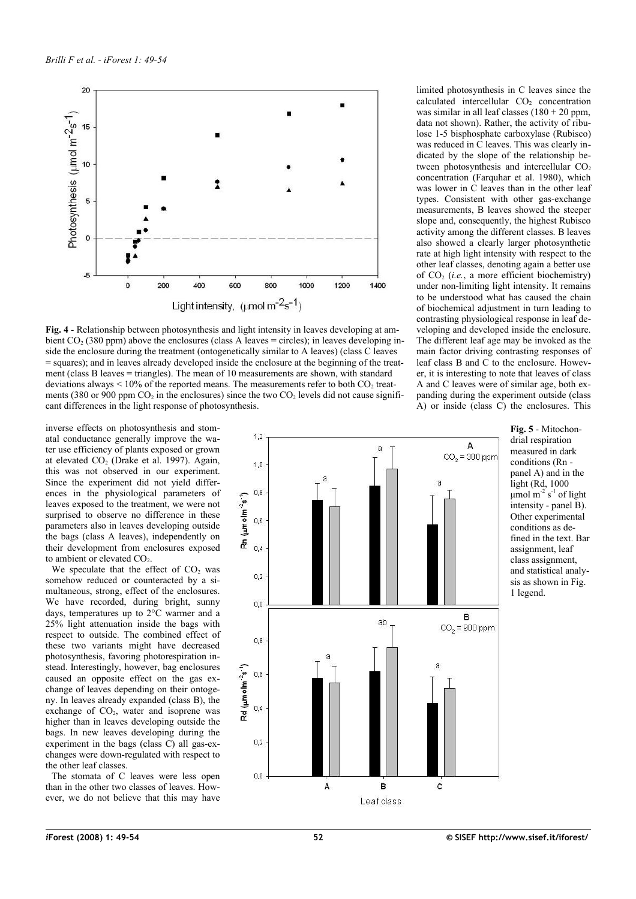

<span id="page-3-1"></span>**Fig. 4** - Relationship between photosynthesis and light intensity in leaves developing at ambient  $CO<sub>2</sub>$  (380 ppm) above the enclosures (class A leaves = circles); in leaves developing inside the enclosure during the treatment (ontogenetically similar to A leaves) (class C leaves = squares); and in leaves already developed inside the enclosure at the beginning of the treatment (class B leaves = triangles). The mean of 10 measurements are shown, with standard deviations always  $\leq 10\%$  of the reported means. The measurements refer to both CO<sub>2</sub> treatments (380 or 900 ppm  $CO<sub>2</sub>$  in the enclosures) since the two  $CO<sub>2</sub>$  levels did not cause significant differences in the light response of photosynthesis.

inverse effects on photosynthesis and stomatal conductance generally improve the water use efficiency of plants exposed or grown at elevated  $CO<sub>2</sub>$  (Drake et al. 1997). Again, this was not observed in our experiment. Since the experiment did not yield differences in the physiological parameters of leaves exposed to the treatment, we were not surprised to observe no difference in these parameters also in leaves developing outside the bags (class A leaves), independently on their development from enclosures exposed to ambient or elevated  $CO<sub>2</sub>$ .

We speculate that the effect of  $CO<sub>2</sub>$  was somehow reduced or counteracted by a simultaneous, strong, effect of the enclosures. We have recorded, during bright, sunny days, temperatures up to 2°C warmer and a 25% light attenuation inside the bags with respect to outside. The combined effect of these two variants might have decreased photosynthesis, favoring photorespiration instead. Interestingly, however, bag enclosures caused an opposite effect on the gas exchange of leaves depending on their ontogeny. In leaves already expanded (class B), the exchange of  $CO<sub>2</sub>$ , water and isoprene was higher than in leaves developing outside the bags. In new leaves developing during the experiment in the bags (class C) all gas-exchanges were down-regulated with respect to the other leaf classes.

The stomata of C leaves were less open than in the other two classes of leaves. However, we do not believe that this may have data not shown). Rather, the activity of ribulose 1-5 bisphosphate carboxylase (Rubisco) was reduced in C leaves. This was clearly indicated by the slope of the relationship between photosynthesis and intercellular  $CO<sub>2</sub>$ concentration (Farquhar et al. 1980), which was lower in C leaves than in the other leaf types. Consistent with other gas-exchange measurements, B leaves showed the steeper slope and, consequently, the highest Rubisco activity among the different classes. B leaves also showed a clearly larger photosynthetic rate at high light intensity with respect to the other leaf classes, denoting again a better use of CO<sup>2</sup> (*i.e.*, a more efficient biochemistry) under non-limiting light intensity. It remains to be understood what has caused the chain of biochemical adjustment in turn leading to contrasting physiological response in leaf developing and developed inside the enclosure. The different leaf age may be invoked as the main factor driving contrasting responses of leaf class B and C to the enclosure. However, it is interesting to note that leaves of class A and C leaves were of similar age, both expanding during the experiment outside (class

 $\overline{A}$ ) or inside (class  $\overline{C}$ ) the enclosures. This

limited photosynthesis in C leaves since the calculated intercellular  $CO<sub>2</sub>$  concentration was similar in all leaf classes  $(180 + 20$  ppm,



<span id="page-3-0"></span>**Fig. 5** - Mitochondrial respiration measured in dark conditions (Rn panel A) and in the light (Rd, 1000  $\mu$ mol m<sup>-2</sup> s<sup>-1</sup> of light intensity - panel B). Other experimental conditions as defined in the text. Bar assignment, leaf class assignment, and statistical analysis as shown in [Fig.](#page-1-0) [1](#page-1-0) legend.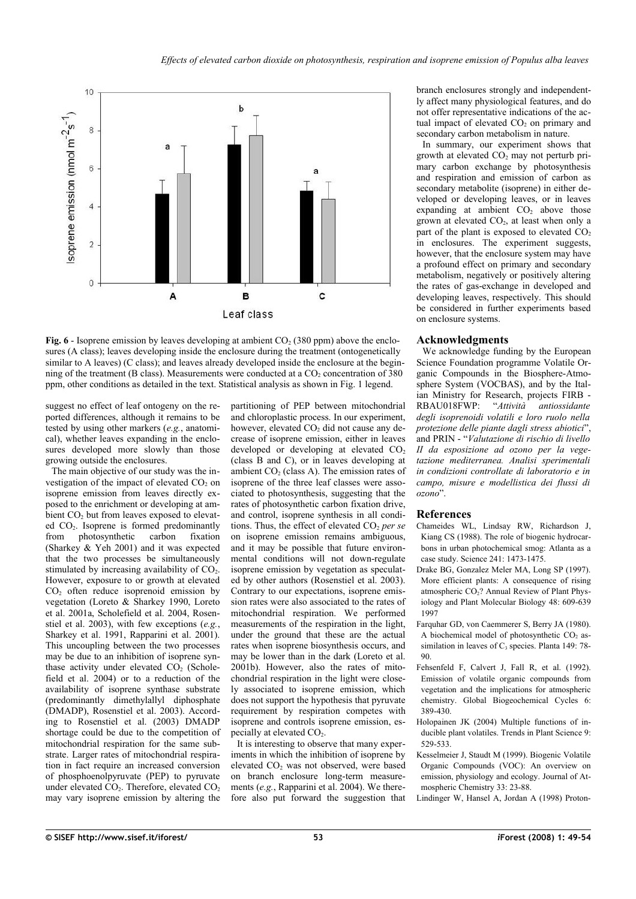

<span id="page-4-0"></span>**Fig. 6** - Isoprene emission by leaves developing at ambient  $CO<sub>2</sub>$  (380 ppm) above the enclosures (A class); leaves developing inside the enclosure during the treatment (ontogenetically similar to A leaves) (C class); and leaves already developed inside the enclosure at the beginning of the treatment (B class). Measurements were conducted at a  $CO<sub>2</sub>$  concentration of 380 ppm, other conditions as detailed in the text. Statistical analysis as shown in [Fig. 1](#page-1-0) legend.

suggest no effect of leaf ontogeny on the reported differences, although it remains to be tested by using other markers (*e.g.*, anatomical), whether leaves expanding in the enclosures developed more slowly than those growing outside the enclosures.

The main objective of our study was the investigation of the impact of elevated  $CO<sub>2</sub>$  on isoprene emission from leaves directly exposed to the enrichment or developing at ambient CO<sub>2</sub> but from leaves exposed to elevated CO2. Isoprene is formed predominantly from photosynthetic carbon fixation (Sharkey & Yeh 2001) and it was expected that the two processes be simultaneously stimulated by increasing availability of  $CO<sub>2</sub>$ . However, exposure to or growth at elevated  $CO<sub>2</sub>$  often reduce isoprenoid emission by vegetation (Loreto & Sharkey 1990, Loreto et al. 2001a, Scholefield et al. 2004, Rosenstiel et al. 2003), with few exceptions (*e.g.*, Sharkey et al. 1991, Rapparini et al. 2001). This uncoupling between the two processes may be due to an inhibition of isoprene synthase activity under elevated  $CO<sub>2</sub>$  (Scholefield et al. 2004) or to a reduction of the availability of isoprene synthase substrate (predominantly dimethylallyl diphosphate (DMADP), Rosenstiel et al. 2003). According to Rosenstiel et al. (2003) DMADP shortage could be due to the competition of mitochondrial respiration for the same substrate. Larger rates of mitochondrial respiration in fact require an increased conversion of phosphoenolpyruvate (PEP) to pyruvate under elevated  $CO<sub>2</sub>$ . Therefore, elevated  $CO<sub>2</sub>$ may vary isoprene emission by altering the

partitioning of PEP between mitochondrial and chloroplastic process. In our experiment, however, elevated  $CO<sub>2</sub>$  did not cause any decrease of isoprene emission, either in leaves developed or developing at elevated  $CO<sub>2</sub>$ (class B and C), or in leaves developing at ambient  $CO<sub>2</sub>$  (class A). The emission rates of isoprene of the three leaf classes were associated to photosynthesis, suggesting that the rates of photosynthetic carbon fixation drive, and control, isoprene synthesis in all conditions. Thus, the effect of elevated CO<sub>2</sub> per se on isoprene emission remains ambiguous, and it may be possible that future environmental conditions will not down-regulate isoprene emission by vegetation as speculated by other authors (Rosenstiel et al. 2003). Contrary to our expectations, isoprene emission rates were also associated to the rates of mitochondrial respiration. We performed measurements of the respiration in the light, under the ground that these are the actual rates when isoprene biosynthesis occurs, and may be lower than in the dark (Loreto et al. 2001b). However, also the rates of mitochondrial respiration in the light were closely associated to isoprene emission, which does not support the hypothesis that pyruvate requirement by respiration competes with isoprene and controls isoprene emission, especially at elevated CO<sub>2</sub>.

It is interesting to observe that many experiments in which the inhibition of isoprene by elevated CO<sub>2</sub> was not observed, were based on branch enclosure long-term measurements (*e.g.*, Rapparini et al. 2004). We therefore also put forward the suggestion that branch enclosures strongly and independently affect many physiological features, and do not offer representative indications of the actual impact of elevated  $CO<sub>2</sub>$  on primary and secondary carbon metabolism in nature.

In summary, our experiment shows that growth at elevated  $CO<sub>2</sub>$  may not perturb primary carbon exchange by photosynthesis and respiration and emission of carbon as secondary metabolite (isoprene) in either developed or developing leaves, or in leaves expanding at ambient  $CO<sub>2</sub>$  above those grown at elevated  $CO<sub>2</sub>$ , at least when only a part of the plant is exposed to elevated  $CO<sub>2</sub>$ in enclosures. The experiment suggests, however, that the enclosure system may have a profound effect on primary and secondary metabolism, negatively or positively altering the rates of gas-exchange in developed and developing leaves, respectively. This should be considered in further experiments based on enclosure systems.

#### **Acknowledgments**

We acknowledge funding by the European Science Foundation programme Volatile Organic Compounds in the Biosphere-Atmosphere System (VOCBAS), and by the Italian Ministry for Research, projects FIRB - RBAU018FWP: "*Attività antiossidante degli isoprenoidi volatili e loro ruolo nella protezione delle piante dagli stress abiotici*", and PRIN - "*Valutazione di rischio di livello II da esposizione ad ozono per la vegetazione mediterranea. Analisi sperimentali in condizioni controllate di laboratorio e in campo, misure e modellistica dei flussi di ozono*".

#### **References**

- Chameides WL, Lindsay RW, Richardson J, Kiang CS (1988). The role of biogenic hydrocarbons in urban photochemical smog: Atlanta as a case study. Science 241: 1473-1475.
- Drake BG, Gonzalez Meler MA, Long SP (1997). More efficient plants: A consequence of rising atmospheric  $CO<sub>2</sub>$ ? Annual Review of Plant Physiology and Plant Molecular Biology 48: 609-639 1997
- Farquhar GD, von Caemmerer S, Berry JA (1980). A biochemical model of photosynthetic  $CO<sub>2</sub>$  assimilation in leaves of  $C_3$  species. Planta 149: 78-90.
- Fehsenfeld F, Calvert J, Fall R, et al. (1992). Emission of volatile organic compounds from vegetation and the implications for atmospheric chemistry. Global Biogeochemical Cycles 6: 389-430.
- Holopainen JK (2004) Multiple functions of inducible plant volatiles. Trends in Plant Science 9: 529-533.
- Kesselmeier J, Staudt M (1999). Biogenic Volatile Organic Compounds (VOC): An overview on emission, physiology and ecology. Journal of Atmospheric Chemistry 33: 23-88.
- Lindinger W, Hansel A, Jordan A (1998) Proton-